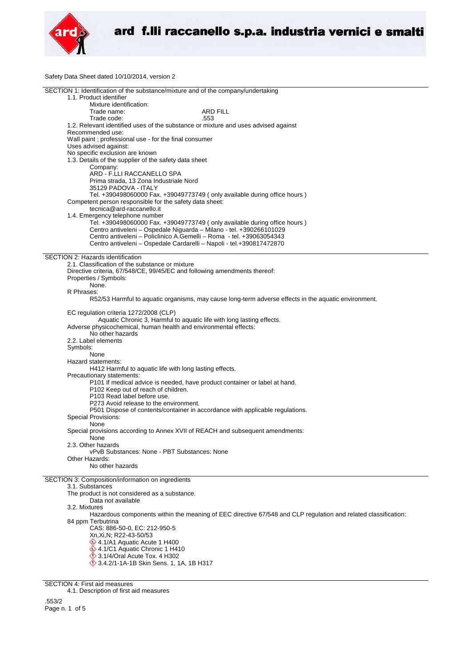

Safety Data Sheet dated 10/10/2014, version 2

| SECTION 1: Identification of the substance/mixture and of the company/undertaking                                                    |                                                                                                                |
|--------------------------------------------------------------------------------------------------------------------------------------|----------------------------------------------------------------------------------------------------------------|
| 1.1. Product identifier                                                                                                              |                                                                                                                |
| Mixture identification:                                                                                                              |                                                                                                                |
| Trade name:<br>Trade code:                                                                                                           | <b>ARD FILL</b><br>.553                                                                                        |
| 1.2. Relevant identified uses of the substance or mixture and uses advised against                                                   |                                                                                                                |
| Recommended use:                                                                                                                     |                                                                                                                |
| Wall paint ; professional use - for the final consumer                                                                               |                                                                                                                |
| Uses advised against:                                                                                                                |                                                                                                                |
| No specific exclusion are known                                                                                                      |                                                                                                                |
| 1.3. Details of the supplier of the safety data sheet                                                                                |                                                                                                                |
| Company:                                                                                                                             |                                                                                                                |
| ARD - F.LLI RACCANELLO SPA                                                                                                           |                                                                                                                |
| Prima strada, 13 Zona Industriale Nord                                                                                               |                                                                                                                |
| 35129 PADOVA - ITALY                                                                                                                 |                                                                                                                |
| Tel. +390498060000 Fax. +39049773749 (only available during office hours)<br>Competent person responsible for the safety data sheet: |                                                                                                                |
| tecnica@ard-raccanello.it                                                                                                            |                                                                                                                |
| 1.4. Emergency telephone number                                                                                                      |                                                                                                                |
| Tel. +390498060000 Fax. +39049773749 (only available during office hours )                                                           |                                                                                                                |
| Centro antiveleni - Ospedale Niguarda - Milano - tel. +390266101029                                                                  |                                                                                                                |
| Centro antiveleni - Policlinico A.Gemelli - Roma - tel. +39063054343                                                                 |                                                                                                                |
| Centro antiveleni - Ospedale Cardarelli - Napoli - tel.+390817472870                                                                 |                                                                                                                |
|                                                                                                                                      |                                                                                                                |
| <b>SECTION 2: Hazards identification</b>                                                                                             |                                                                                                                |
| 2.1. Classification of the substance or mixture                                                                                      |                                                                                                                |
| Directive criteria, 67/548/CE, 99/45/EC and following amendments thereof:                                                            |                                                                                                                |
| Properties / Symbols:<br>None.                                                                                                       |                                                                                                                |
| R Phrases:                                                                                                                           |                                                                                                                |
|                                                                                                                                      | R52/53 Harmful to aquatic organisms, may cause long-term adverse effects in the aquatic environment.           |
|                                                                                                                                      |                                                                                                                |
| EC regulation criteria 1272/2008 (CLP)                                                                                               |                                                                                                                |
| Aquatic Chronic 3, Harmful to aquatic life with long lasting effects.                                                                |                                                                                                                |
| Adverse physicochemical, human health and environmental effects:                                                                     |                                                                                                                |
| No other hazards                                                                                                                     |                                                                                                                |
| 2.2. Label elements                                                                                                                  |                                                                                                                |
| Symbols:<br>None                                                                                                                     |                                                                                                                |
| Hazard statements:                                                                                                                   |                                                                                                                |
| H412 Harmful to aquatic life with long lasting effects.                                                                              |                                                                                                                |
| Precautionary statements:                                                                                                            |                                                                                                                |
| P101 If medical advice is needed, have product container or label at hand.                                                           |                                                                                                                |
| P102 Keep out of reach of children.                                                                                                  |                                                                                                                |
| P103 Read label before use.                                                                                                          |                                                                                                                |
| P273 Avoid release to the environment.                                                                                               |                                                                                                                |
| P501 Dispose of contents/container in accordance with applicable regulations.                                                        |                                                                                                                |
| Special Provisions:                                                                                                                  |                                                                                                                |
| None<br>Special provisions according to Annex XVII of REACH and subsequent amendments:                                               |                                                                                                                |
| None                                                                                                                                 |                                                                                                                |
| 2.3. Other hazards                                                                                                                   |                                                                                                                |
| vPvB Substances: None - PBT Substances: None                                                                                         |                                                                                                                |
| Other Hazards:                                                                                                                       |                                                                                                                |
| No other hazards                                                                                                                     |                                                                                                                |
|                                                                                                                                      |                                                                                                                |
| SECTION 3: Composition/information on ingredients<br>3.1. Substances                                                                 |                                                                                                                |
| The product is not considered as a substance.                                                                                        |                                                                                                                |
| Data not available                                                                                                                   |                                                                                                                |
| 3.2. Mixtures                                                                                                                        |                                                                                                                |
|                                                                                                                                      | Hazardous components within the meaning of EEC directive 67/548 and CLP regulation and related classification: |
| 84 ppm Terbutrina                                                                                                                    |                                                                                                                |
| CAS: 886-50-0, EC: 212-950-5                                                                                                         |                                                                                                                |
| Xn, Xi, N; R22-43-50/53                                                                                                              |                                                                                                                |
| $\Diamond$ 4.1/A1 Aquatic Acute 1 H400                                                                                               |                                                                                                                |
| 4.1/C1 Aquatic Chronic 1 H410                                                                                                        |                                                                                                                |
| $\Diamond$ 3.1/4/Oral Acute Tox. 4 H302                                                                                              |                                                                                                                |
| 3.4.2/1-1A-1B Skin Sens. 1, 1A, 1B H317                                                                                              |                                                                                                                |

SECTION 4: First aid measures 4.1. Description of first aid measures .553/2

Page n. 1 of 5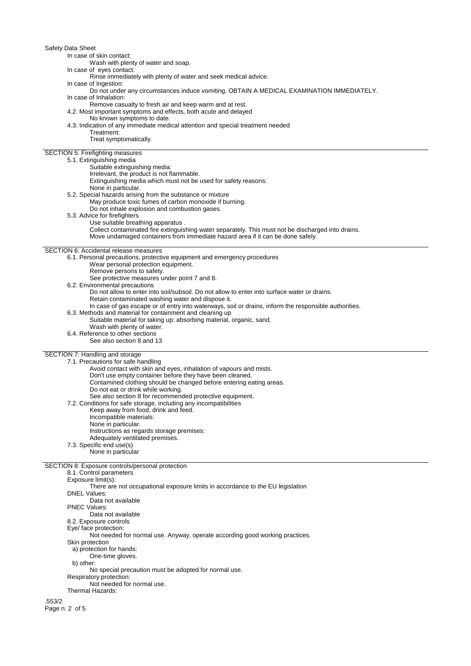In case of skin contact:

Wash with plenty of water and soap.

In case of eyes contact:

Rinse immediately with plenty of water and seek medical advice.

- In case of Ingestion:
- Do not under any circumstances induce vomiting. OBTAIN A MEDICAL EXAMINATION IMMEDIATELY. In case of Inhalation:

Remove casualty to fresh air and keep warm and at rest.

4.2. Most important symptoms and effects, both acute and delayed

No known symptoms to date.

- 4.3. Indication of any immediate medical attention and special treatment needed
	- Treatment:

Treat symptomatically.

# SECTION 5: Firefighting measures

| 5.1. Extinguishing media                                                                           |
|----------------------------------------------------------------------------------------------------|
| Suitable extinguishing media:                                                                      |
| Irrelevant, the product is not flammable.                                                          |
| Extinguishing media which must not be used for safety reasons:                                     |
| None in particular.                                                                                |
| 5.2. Special hazards arising from the substance or mixture                                         |
| May produce toxic fumes of carbon monoxide if burning.                                             |
| Do not inhale explosion and combustion gases.                                                      |
| 5.3. Advice for firefighters                                                                       |
| Use suitable breathing apparatus.                                                                  |
| Collect contaminated fire extinguishing water separately. This must not be discharged into drains. |
| Move undamaged containers from immediate hazard area if it can be done safely.                     |
| <b>SECTION 6: Accidental release measures</b>                                                      |
| 6.1. Personal precautions, protective equipment and emergency procedures                           |
| Wear personal protection equipment.                                                                |
| Remove persons to safety.                                                                          |
| See protective measures under point 7 and 8.                                                       |
| 6.2. Environmental precautions                                                                     |
| Do not allow to enter into soil/subsoil. Do not allow to enter into surface water or drains.       |

Retain contaminated washing water and dispose it.

- In case of gas escape or of entry into waterways, soil or drains, inform the responsible authorities.
- 6.3. Methods and material for containment and cleaning up
	- Suitable material for taking up: absorbing material, organic, sand. Wash with plenty of water.
- 6.4. Reference to other sections
- See also section 8 and 13

#### SECTION 7: Handling and storage

7.1. Precautions for safe handling

- Avoid contact with skin and eyes, inhalation of vapours and mists.
- Don't use empty container before they have been cleaned.
- Contamined clothing should be changed before entering eating areas.
	- Do not eat or drink while working.
- See also section 8 for recommended protective equipment.

7.2. Conditions for safe storage, including any incompatibilities

Keep away from food, drink and feed.

- Incompatible materials:
- None in particular.
- Instructions as regards storage premises:
- Adequately ventilated premises.
- 
- 7.3. Specific end use(s)
	- None in particular

# SECTION 8: Exposure controls/personal protection

8.1. Control parameters

- Exposure limit(s):
- There are not occupational exposure limits in accordance to the EU legislation
- DNEL Values:
- Data not available
- PNEC Values:
- Data not available
- 8.2. Exposure controls
- Eye/ face protection:
- 
- Not needed for normal use. Anyway, operate according good working practices. Skin protection
- 
- a) protection for hands: One-time gloves.
- b) other:

No special precaution must be adopted for normal use.

- Respiratory protection: Not needed for normal use.
- Thermal Hazards:

.553/2 Page n. 2 of 5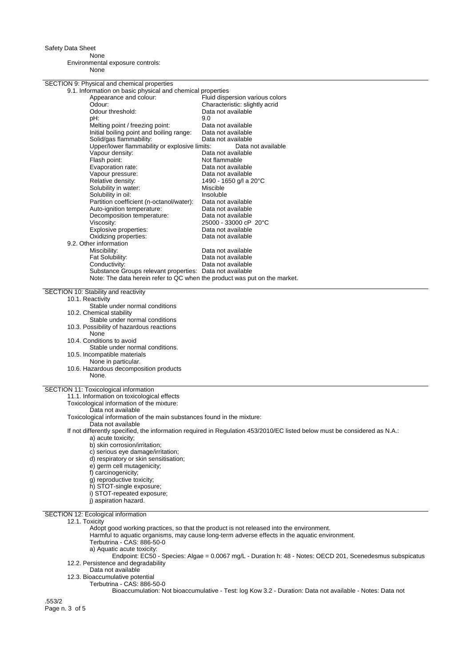None

Environmental exposure controls: None

| SECTION 9: Physical and chemical properties                               |                                                                                                                           |
|---------------------------------------------------------------------------|---------------------------------------------------------------------------------------------------------------------------|
| 9.1. Information on basic physical and chemical properties                |                                                                                                                           |
| Appearance and colour:                                                    | Fluid dispersion various colors                                                                                           |
| Odour:                                                                    | Characteristic: slightly acrid                                                                                            |
| Odour threshold:                                                          | Data not available                                                                                                        |
| pH:                                                                       | 9.0                                                                                                                       |
| Melting point / freezing point:                                           | Data not available                                                                                                        |
| Initial boiling point and boiling range:                                  | Data not available                                                                                                        |
| Solid/gas flammability:                                                   | Data not available                                                                                                        |
| Upper/lower flammability or explosive limits:                             | Data not available                                                                                                        |
| Vapour density:                                                           | Data not available                                                                                                        |
| Flash point:                                                              | Not flammable                                                                                                             |
| Evaporation rate:                                                         | Data not available                                                                                                        |
| Vapour pressure:                                                          | Data not available                                                                                                        |
| Relative density:                                                         | 1490 - 1650 g/l a 20°C                                                                                                    |
| Solubility in water:                                                      | Miscible                                                                                                                  |
| Solubility in oil:                                                        | Insoluble                                                                                                                 |
| Partition coefficient (n-octanol/water):                                  | Data not available                                                                                                        |
| Auto-ignition temperature:                                                | Data not available                                                                                                        |
| Decomposition temperature:                                                | Data not available                                                                                                        |
| Viscosity:                                                                | 25000 - 33000 cP 20°C                                                                                                     |
|                                                                           |                                                                                                                           |
| Explosive properties:                                                     | Data not available                                                                                                        |
| Oxidizing properties:                                                     | Data not available                                                                                                        |
| 9.2. Other information                                                    |                                                                                                                           |
| Miscibility:                                                              | Data not available                                                                                                        |
| Fat Solubility:                                                           | Data not available                                                                                                        |
| Conductivity:                                                             | Data not available                                                                                                        |
| Substance Groups relevant properties: Data not available                  |                                                                                                                           |
| Note: The data herein refer to QC when the product was put on the market. |                                                                                                                           |
| SECTION 10: Stability and reactivity                                      |                                                                                                                           |
| 10.1. Reactivity                                                          |                                                                                                                           |
| Stable under normal conditions                                            |                                                                                                                           |
| 10.2. Chemical stability                                                  |                                                                                                                           |
| Stable under normal conditions                                            |                                                                                                                           |
| 10.3. Possibility of hazardous reactions                                  |                                                                                                                           |
| None                                                                      |                                                                                                                           |
| 10.4. Conditions to avoid                                                 |                                                                                                                           |
|                                                                           |                                                                                                                           |
| Stable under normal conditions.                                           |                                                                                                                           |
| 10.5. Incompatible materials                                              |                                                                                                                           |
| None in particular.                                                       |                                                                                                                           |
| 10.6. Hazardous decomposition products<br>None.                           |                                                                                                                           |
|                                                                           |                                                                                                                           |
| SECTION 11: Toxicological information                                     |                                                                                                                           |
| 11.1. Information on toxicological effects                                |                                                                                                                           |
| Toxicological information of the mixture:                                 |                                                                                                                           |
| Data not available                                                        |                                                                                                                           |
| Toxicological information of the main substances found in the mixture:    |                                                                                                                           |
| Data not available                                                        |                                                                                                                           |
|                                                                           | If not differently specified, the information required in Regulation 453/2010/EC listed below must be considered as N.A.: |
| a) acute toxicity;                                                        |                                                                                                                           |
| b) skin corrosion/irritation;                                             |                                                                                                                           |
| c) serious eye damage/irritation;                                         |                                                                                                                           |
| d) respiratory or skin sensitisation;                                     |                                                                                                                           |
| e) germ cell mutagenicity;                                                |                                                                                                                           |
| f) carcinogenicity;                                                       |                                                                                                                           |
| g) reproductive toxicity;                                                 |                                                                                                                           |
| h) STOT-single exposure;                                                  |                                                                                                                           |
|                                                                           |                                                                                                                           |
| i) STOT-repeated exposure;                                                |                                                                                                                           |
| j) aspiration hazard.                                                     |                                                                                                                           |
| SECTION 12: Ecological information                                        |                                                                                                                           |
| 12.1. Toxicity                                                            |                                                                                                                           |
|                                                                           | Adopt good working practices, so that the product is not released into the environment.                                   |
|                                                                           | Harmful to aquatic organisms, may cause long-term adverse effects in the aquatic environment.                             |
| Terbutrina - CAS: 886-50-0                                                |                                                                                                                           |
| a) Aquatic acute toxicity:                                                |                                                                                                                           |
|                                                                           | Endpoint: EC50 - Species: Algae = 0.0067 mg/L - Duration h: 48 - Notes: OECD 201, Scenedesmus subspicatus                 |
| 12.2. Persistence and degradability                                       |                                                                                                                           |
| Data not available                                                        |                                                                                                                           |
| 12.3. Bioaccumulative potential                                           |                                                                                                                           |
| Terbutrina - CAS: 886-50-0                                                |                                                                                                                           |
|                                                                           | Bioaccumulation: Not bioaccumulative - Test: log Kow 3.2 - Duration: Data not available - Notes: Data not                 |
|                                                                           |                                                                                                                           |
| .553/2                                                                    |                                                                                                                           |
| Page n. 3 of 5                                                            |                                                                                                                           |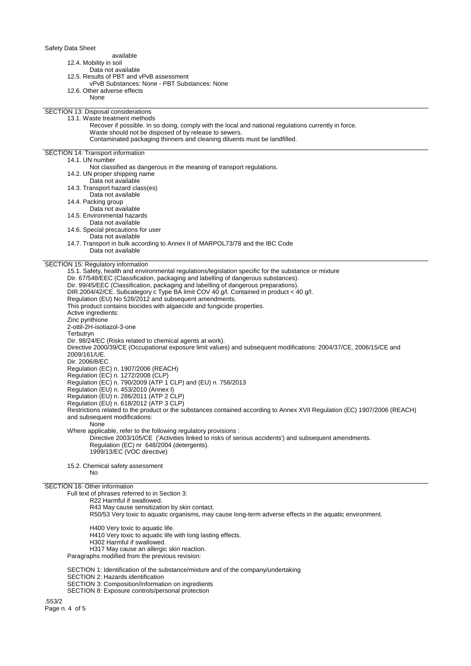- available
- 12.4. Mobility in soil
	- Data not available
- 12.5. Results of PBT and vPvB assessment
- vPvB Substances: None PBT Substances: None
- 12.6. Other adverse effects
	- None

SECTION 13: Disposal considerations 13.1. Waste treatment methods

- Recover if possible. In so doing, comply with the local and national regulations currently in force. Waste should not be disposed of by release to sewers.
	- Contaminated packaging thinners and cleaning diluents must be landfilled.
- SECTION 14: Transport information

## 14.1. UN number

- Not classified as dangerous in the meaning of transport regulations.
- 14.2. UN proper shipping name
- Data not available
- 14.3. Transport hazard class(es)
- Data not available
- 14.4. Packing group
- Data not available 14.5. Environmental hazards
- Data not available
- 14.6. Special precautions for user
	- Data not available
- 14.7. Transport in bulk according to Annex II of MARPOL73/78 and the IBC Code Data not available
- SECTION 15: Regulatory information

15.1. Safety, health and environmental regulations/legislation specific for the substance or mixture Dir. 67/548/EEC (Classification, packaging and labelling of dangerous substances). Dir. 99/45/EEC (Classification, packaging and labelling of dangerous preparations). DIR.2004/42/CE. Subcategory c Type BA limit COV 40 g/l. Contained in product < 40 g/l. Regulation (EU) No 528/2012 and subsequent amendments. This product contains biocides with algaecide and fungicide properties. Active ingredients: Zinc pyrithione 2-ottil-2H-isotiazol-3-one Terbutryn Dir. 98/24/EC (Risks related to chemical agents at work). Directive 2000/39/CE (Occupational exposure limit values) and subsequent modifications: 2004/37/CE, 2006/15/CE and 2009/161/UE. Dir. 2006/8/EC Regulation (EC) n. 1907/2006 (REACH) Regulation (EC) n. 1272/2008 (CLP) Regulation (EC) n. 790/2009 (ATP 1 CLP) and (EU) n. 758/2013 Regulation (EU) n. 453/2010 (Annex I) Regulation (EU) n. 286/2011 (ATP 2 CLP) Regulation (EU) n. 618/2012 (ATP 3 CLP) Restrictions related to the product or the substances contained according to Annex XVII Regulation (EC) 1907/2006 (REACH) and subsequent modifications: None Where applicable, refer to the following regulatory provisions : Directive 2003/105/CE ('Activities linked to risks of serious accidents') and subsequent amendments. Regulation (EC) nr 648/2004 (detergents). 1999/13/EC (VOC directive)

15.2. Chemical safety assessment No

#### SECTION 16: Other information

Full text of phrases referred to in Section 3: R22 Harmful if swallowed. R43 May cause sensitization by skin contact. R50/53 Very toxic to aquatic organisms, may cause long-term adverse effects in the aquatic environment. H400 Very toxic to aquatic life. H410 Very toxic to aquatic life with long lasting effects.

- H302 Harmful if swallowed.
- H317 May cause an allergic skin reaction.

Paragraphs modified from the previous revision:

SECTION 1: Identification of the substance/mixture and of the company/undertaking

- SECTION 2: Hazards identification
- SECTION 3: Composition/information on ingredients
- SECTION 8: Exposure controls/personal protection

.553/2 Page n. 4 of 5